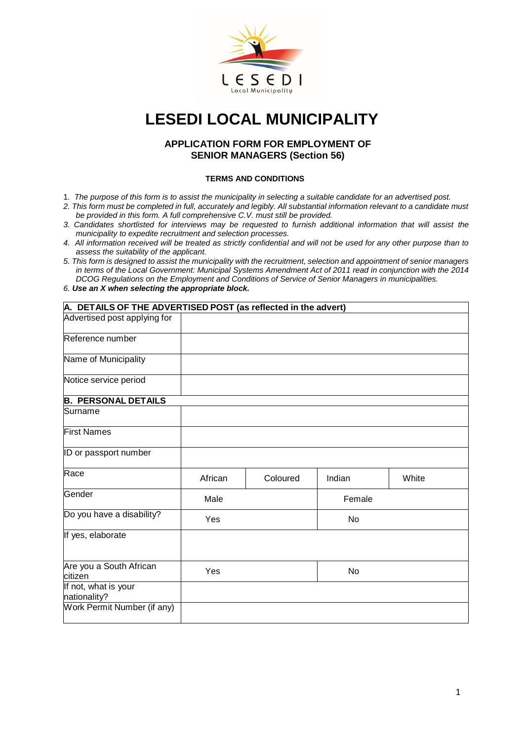

## **LESEDI LOCAL MUNICIPALITY**

## **APPLICATION FORM FOR EMPLOYMENT OF SENIOR MANAGERS (Section 56)**

## **TERMS AND CONDITIONS**

- 1*. The purpose of this form is to assist the municipality in selecting a suitable candidate for an advertised post.*
- *2. This form must be completed in full, accurately and legibly. All substantial information relevant to a candidate must be provided in this form. A full comprehensive C.V. must still be provided.*
- *3. Candidates shortlisted for interviews may be requested to furnish additional information that will assist the municipality to expedite recruitment and selection processes.*
- *4. All information received will be treated as strictly confidential and will not be used for any other purpose than to assess the suitability of the applicant.*
- *5. This form is designed to assist the municipality with the recruitment, selection and appointment of senior managers in terms of the Local Government: Municipal Systems Amendment Act of 2011 read in conjunction with the 2014 DCOG Regulations on the Employment and Conditions of Service of Senior Managers in municipalities.*

## *6. Use an X when selecting the appropriate block.*

| A. DETAILS OF THE ADVERTISED POST (as reflected in the advert) |         |          |        |       |  |  |  |  |
|----------------------------------------------------------------|---------|----------|--------|-------|--|--|--|--|
| Advertised post applying for                                   |         |          |        |       |  |  |  |  |
| Reference number                                               |         |          |        |       |  |  |  |  |
| Name of Municipality                                           |         |          |        |       |  |  |  |  |
| Notice service period                                          |         |          |        |       |  |  |  |  |
| <b>B. PERSONAL DETAILS</b>                                     |         |          |        |       |  |  |  |  |
| Surname                                                        |         |          |        |       |  |  |  |  |
| <b>First Names</b>                                             |         |          |        |       |  |  |  |  |
| ID or passport number                                          |         |          |        |       |  |  |  |  |
| Race                                                           | African | Coloured | Indian | White |  |  |  |  |
| Gender                                                         | Male    |          | Female |       |  |  |  |  |
| Do you have a disability?                                      | Yes     |          | No     |       |  |  |  |  |
| If yes, elaborate                                              |         |          |        |       |  |  |  |  |
| Are you a South African<br>citizen                             | Yes     |          | No     |       |  |  |  |  |
| If not, what is your<br>nationality?                           |         |          |        |       |  |  |  |  |
| Work Permit Number (if any)                                    |         |          |        |       |  |  |  |  |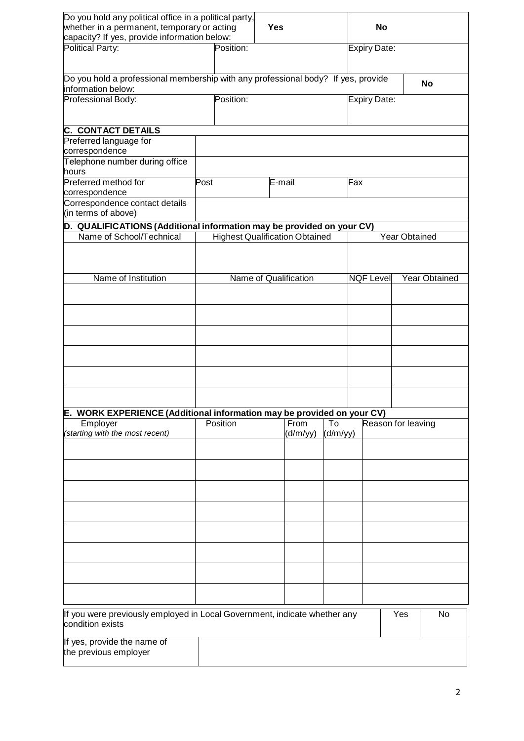| Do you hold any political office in a political party,                                                  |                                       |                                                          |  |           |               |              |                      |    |
|---------------------------------------------------------------------------------------------------------|---------------------------------------|----------------------------------------------------------|--|-----------|---------------|--------------|----------------------|----|
| whether in a permanent, temporary or acting<br>capacity? If yes, provide information below:             |                                       | <b>Yes</b>                                               |  |           |               | No           |                      |    |
| Political Party:                                                                                        | Position:                             |                                                          |  |           |               | Expiry Date: |                      |    |
|                                                                                                         |                                       |                                                          |  |           |               |              |                      |    |
| Do you hold a professional membership with any professional body? If yes, provide<br>information below: |                                       |                                                          |  |           |               |              |                      | No |
| Professional Body:                                                                                      | Position:                             |                                                          |  |           |               | Expiry Date: |                      |    |
|                                                                                                         |                                       |                                                          |  |           |               |              |                      |    |
| <b>C. CONTACT DETAILS</b>                                                                               |                                       |                                                          |  |           |               |              |                      |    |
| Preferred language for<br>correspondence                                                                |                                       |                                                          |  |           |               |              |                      |    |
| Telephone number during office                                                                          |                                       |                                                          |  |           |               |              |                      |    |
| hours<br>Preferred method for                                                                           | Post                                  | E-mail                                                   |  |           | Fax           |              |                      |    |
| correspondence                                                                                          |                                       |                                                          |  |           |               |              |                      |    |
| Correspondence contact details<br>(in terms of above)                                                   |                                       |                                                          |  |           |               |              |                      |    |
| D. QUALIFICATIONS (Additional information may be provided on your CV)                                   |                                       |                                                          |  |           |               |              |                      |    |
| Name of School/Technical                                                                                | <b>Highest Qualification Obtained</b> |                                                          |  |           | Year Obtained |              |                      |    |
|                                                                                                         |                                       |                                                          |  |           |               |              |                      |    |
| Name of Institution                                                                                     | Name of Qualification                 |                                                          |  | NQF Level |               |              | <b>Year Obtained</b> |    |
|                                                                                                         |                                       |                                                          |  |           |               |              |                      |    |
|                                                                                                         |                                       |                                                          |  |           |               |              |                      |    |
|                                                                                                         |                                       |                                                          |  |           |               |              |                      |    |
|                                                                                                         |                                       |                                                          |  |           |               |              |                      |    |
|                                                                                                         |                                       |                                                          |  |           |               |              |                      |    |
|                                                                                                         |                                       |                                                          |  |           |               |              |                      |    |
| E. WORK EXPERIENCE (Additional information may be provided on your CV)                                  |                                       |                                                          |  |           |               |              |                      |    |
| Employer<br>(starting with the most recent)                                                             | Position                              | From<br>Reason for leaving<br>To<br>(d/m/yy)<br>(d/m/yy) |  |           |               |              |                      |    |
|                                                                                                         |                                       |                                                          |  |           |               |              |                      |    |
|                                                                                                         |                                       |                                                          |  |           |               |              |                      |    |
|                                                                                                         |                                       |                                                          |  |           |               |              |                      |    |
|                                                                                                         |                                       |                                                          |  |           |               |              |                      |    |
|                                                                                                         |                                       |                                                          |  |           |               |              |                      |    |
|                                                                                                         |                                       |                                                          |  |           |               |              |                      |    |
|                                                                                                         |                                       |                                                          |  |           |               |              |                      |    |
|                                                                                                         |                                       |                                                          |  |           |               |              |                      |    |
|                                                                                                         |                                       |                                                          |  |           |               |              |                      |    |
| If you were previously employed in Local Government, indicate whether any<br>condition exists           |                                       |                                                          |  |           |               |              | Yes                  | No |
| If yes, provide the name of<br>the previous employer                                                    |                                       |                                                          |  |           |               |              |                      |    |